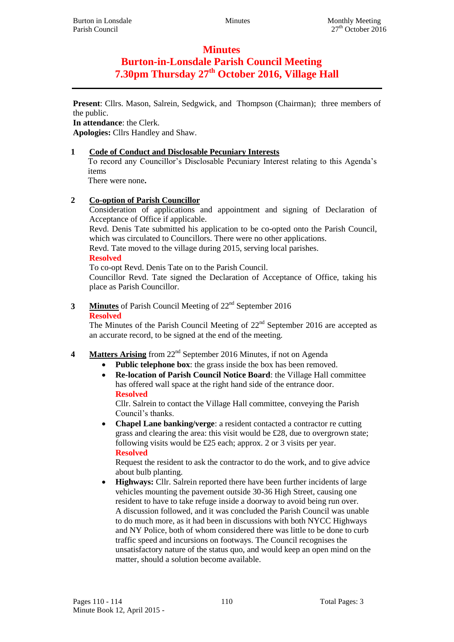# **Minutes**

# **Burton-in-Lonsdale Parish Council Meeting 7.30pm Thursday 27th October 2016, Village Hall**

**Present**: Cllrs. Mason, Salrein, Sedgwick, and Thompson (Chairman); three members of the public.

**In attendance**: the Clerk. **Apologies:** Cllrs Handley and Shaw.

## **1 Code of Conduct and Disclosable Pecuniary Interests**

To record any Councillor's Disclosable Pecuniary Interest relating to this Agenda's items

There were none**.**

## **2 Co-option of Parish Councillor**

Consideration of applications and appointment and signing of Declaration of Acceptance of Office if applicable.

Revd. Denis Tate submitted his application to be co-opted onto the Parish Council, which was circulated to Councillors. There were no other applications.

Revd. Tate moved to the village during 2015, serving local parishes.

## **Resolved**

To co-opt Revd. Denis Tate on to the Parish Council.

Councillor Revd. Tate signed the Declaration of Acceptance of Office, taking his place as Parish Councillor.

## **3 Minutes** of Parish Council Meeting of 22<sup>nd</sup> September 2016 **Resolved**

The Minutes of the Parish Council Meeting of  $22<sup>nd</sup>$  September 2016 are accepted as an accurate record, to be signed at the end of the meeting.

- 4 **Matters Arising** from 22<sup>nd</sup> September 2016 Minutes, if not on Agenda
	- **Public telephone box**: the grass inside the box has been removed.
	- **Re-location of Parish Council Notice Board**: the Village Hall committee has offered wall space at the right hand side of the entrance door. **Resolved**

Cllr. Salrein to contact the Village Hall committee, conveying the Parish Council's thanks.

 **Chapel Lane banking/verge**: a resident contacted a contractor re cutting grass and clearing the area: this visit would be £28, due to overgrown state; following visits would be £25 each; approx. 2 or 3 visits per year. **Resolved**

Request the resident to ask the contractor to do the work, and to give advice about bulb planting.

 **Highways:** Cllr. Salrein reported there have been further incidents of large vehicles mounting the pavement outside 30-36 High Street, causing one resident to have to take refuge inside a doorway to avoid being run over. A discussion followed, and it was concluded the Parish Council was unable to do much more, as it had been in discussions with both NYCC Highways and NY Police, both of whom considered there was little to be done to curb traffic speed and incursions on footways. The Council recognises the unsatisfactory nature of the status quo, and would keep an open mind on the matter, should a solution become available.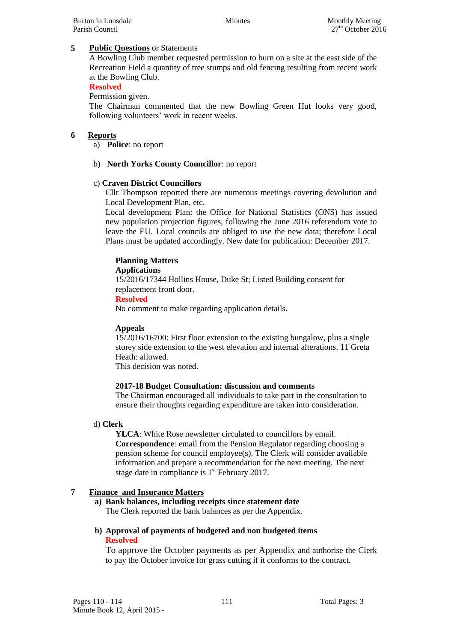## **5 Public Questions** or Statements

A Bowling Club member requested permission to burn on a site at the east side of the Recreation Field a quantity of tree stumps and old fencing resulting from recent work at the Bowling Club.

#### **Resolved**

Permission given.

The Chairman commented that the new Bowling Green Hut looks very good, following volunteers' work in recent weeks.

## **6 Reports**

a) **Police**: no report

## b) **North Yorks County Councillor**: no report

## c) **Craven District Councillors**

Cllr Thompson reported there are numerous meetings covering devolution and Local Development Plan, etc.

Local development Plan: the Office for National Statistics (ONS) has issued new population projection figures, following the June 2016 referendum vote to leave the EU. Local councils are obliged to use the new data; therefore Local Plans must be updated accordingly. New date for publication: December 2017.

## **Planning Matters**

#### **Applications**

15/2016/17344 Hollins House, Duke St; Listed Building consent for replacement front door.

#### **Resolved**

No comment to make regarding application details.

#### **Appeals**

15/2016/16700: First floor extension to the existing bungalow, plus a single storey side extension to the west elevation and internal alterations. 11 Greta Heath: allowed.

This decision was noted.

#### **2017-18 Budget Consultation: discussion and comments**

The Chairman encouraged all individuals to take part in the consultation to ensure their thoughts regarding expenditure are taken into consideration.

#### d) **Clerk**

**YLCA**: White Rose newsletter circulated to councillors by email. **Correspondence**: email from the Pension Regulator regarding choosing a pension scheme for council employee(s). The Clerk will consider available information and prepare a recommendation for the next meeting. The next stage date in compliance is  $1<sup>st</sup>$  February 2017.

#### **7 Finance and Insurance Matters**

- **a) Bank balances, including receipts since statement date** The Clerk reported the bank balances as per the Appendix.
- **b) Approval of payments of budgeted and non budgeted items Resolved**

To approve the October payments as per Appendix and authorise the Clerk to pay the October invoice for grass cutting if it conforms to the contract.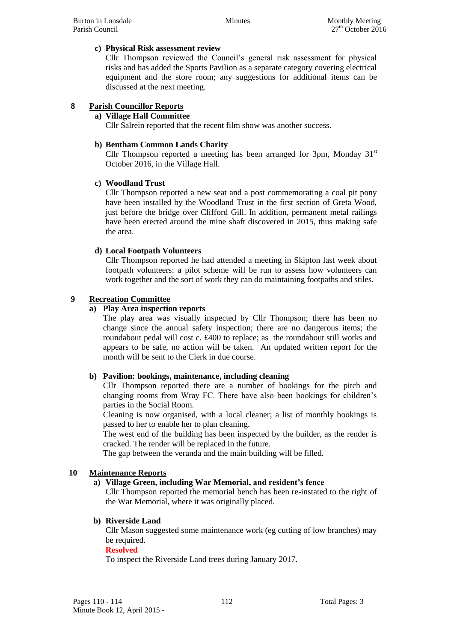#### **c) Physical Risk assessment review**

Cllr Thompson reviewed the Council's general risk assessment for physical risks and has added the Sports Pavilion as a separate category covering electrical equipment and the store room; any suggestions for additional items can be discussed at the next meeting.

## **8 Parish Councillor Reports**

#### **a) Village Hall Committee**

Cllr Salrein reported that the recent film show was another success.

#### **b) Bentham Common Lands Charity**

Cllr Thompson reported a meeting has been arranged for 3pm, Monday  $31<sup>st</sup>$ October 2016, in the Village Hall.

#### **c) Woodland Trust**

Cllr Thompson reported a new seat and a post commemorating a coal pit pony have been installed by the Woodland Trust in the first section of Greta Wood, just before the bridge over Clifford Gill. In addition, permanent metal railings have been erected around the mine shaft discovered in 2015, thus making safe the area.

#### **d) Local Footpath Volunteers**

Cllr Thompson reported he had attended a meeting in Skipton last week about footpath volunteers: a pilot scheme will be run to assess how volunteers can work together and the sort of work they can do maintaining footpaths and stiles.

#### **9 Recreation Committee**

#### **a) Play Area inspection reports**

The play area was visually inspected by Cllr Thompson; there has been no change since the annual safety inspection; there are no dangerous items; the roundabout pedal will cost c. £400 to replace; as the roundabout still works and appears to be safe, no action will be taken. An updated written report for the month will be sent to the Clerk in due course.

#### **b) Pavilion: bookings, maintenance, including cleaning**

Cllr Thompson reported there are a number of bookings for the pitch and changing rooms from Wray FC. There have also been bookings for children's parties in the Social Room.

Cleaning is now organised, with a local cleaner; a list of monthly bookings is passed to her to enable her to plan cleaning.

The west end of the building has been inspected by the builder, as the render is cracked. The render will be replaced in the future.

The gap between the veranda and the main building will be filled.

#### **10 Maintenance Reports**

#### **a) Village Green, including War Memorial, and resident's fence**

Cllr Thompson reported the memorial bench has been re-instated to the right of the War Memorial, where it was originally placed.

#### **b) Riverside Land**

Cllr Mason suggested some maintenance work (eg cutting of low branches) may be required.

#### **Resolved**

To inspect the Riverside Land trees during January 2017.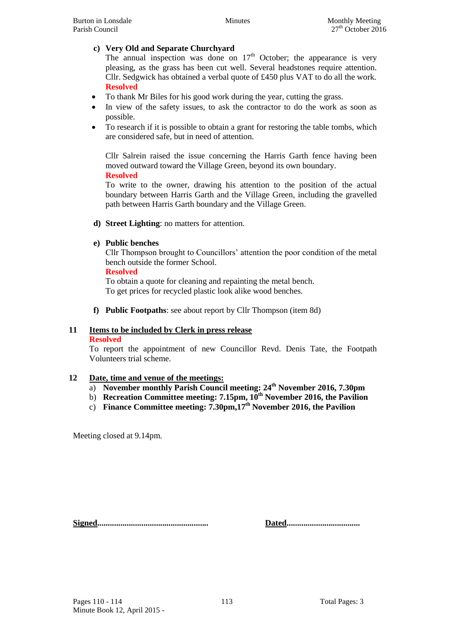## **c) Very Old and Separate Churchyard**

The annual inspection was done on  $17<sup>th</sup>$  October; the appearance is very pleasing, as the grass has been cut well. Several headstones require attention. Cllr. Sedgwick has obtained a verbal quote of £450 plus VAT to do all the work. **Resolved**

- To thank Mr Biles for his good work during the year, cutting the grass.
- In view of the safety issues, to ask the contractor to do the work as soon as possible.
- To research if it is possible to obtain a grant for restoring the table tombs, which are considered safe, but in need of attention.

Cllr Salrein raised the issue concerning the Harris Garth fence having been moved outward toward the Village Green, beyond its own boundary. **Resolved**

To write to the owner, drawing his attention to the position of the actual boundary between Harris Garth and the Village Green, including the gravelled path between Harris Garth boundary and the Village Green.

**d) Street Lighting**: no matters for attention.

## **e) Public benches**

Cllr Thompson brought to Councillors' attention the poor condition of the metal bench outside the former School.

#### **Resolved**

To obtain a quote for cleaning and repainting the metal bench. To get prices for recycled plastic look alike wood benches.

**f) Public Footpaths**: see about report by Cllr Thompson (item 8d)

## **11 Items to be included by Clerk in press release**

#### **Resolved**

To report the appointment of new Councillor Revd. Denis Tate, the Footpath Volunteers trial scheme.

#### **12 Date, time and venue of the meetings:**

- a) **November monthly Parish Council meeting: 24th November 2016, 7.30pm**
- b) **Recreation Committee meeting: 7.15pm, 10th November 2016, the Pavilion**
- c) **Finance Committee meeting: 7.30pm,17th November 2016, the Pavilion**

Meeting closed at 9.14pm.

**Signed..................................................... Dated...................................**